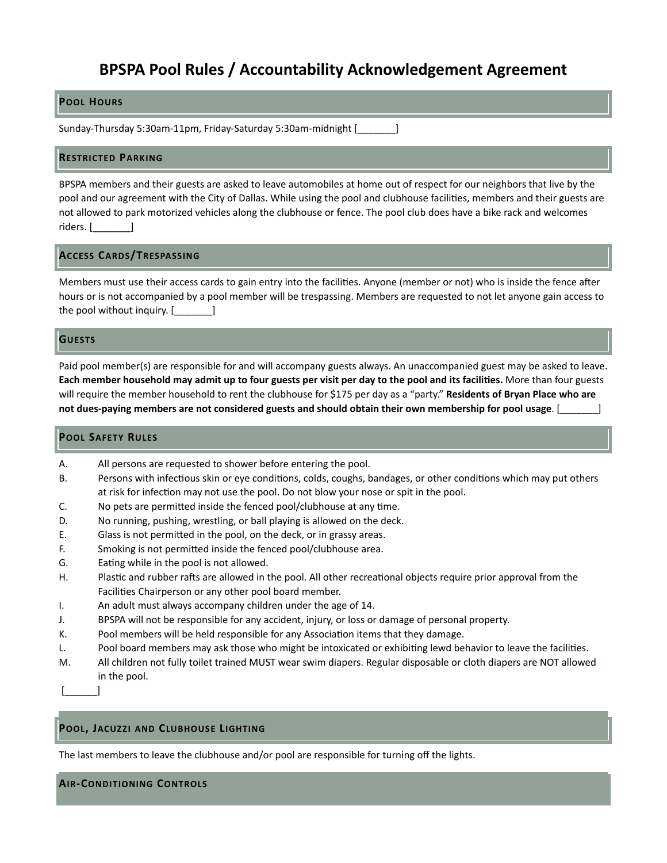# **BPSPA Pool Rules / Accountability Acknowledgement Agreement**

## **POOL HOURS**

Sunday-Thursday 5:30am-11pm, Friday-Saturday 5:30am-midnight [1000000000000000000

#### **RESTRICTED PARKING**

BPSPA members and their guests are asked to leave automobiles at home out of respect for our neighbors that live by the pool and our agreement with the City of Dallas. While using the pool and clubhouse facilities, members and their guests are not allowed to park motorized vehicles along the clubhouse or fence. The pool club does have a bike rack and welcomes riders. [\_\_\_\_\_\_\_\_\_]

### **ACCESS CARDS/TRESPASSING**

Members must use their access cards to gain entry into the facilities. Anyone (member or not) who is inside the fence after hours or is not accompanied by a pool member will be trespassing. Members are requested to not let anyone gain access to the pool without inquiry.  $[\_$ 

### **GUESTS**

Paid pool member(s) are responsible for and will accompany guests always. An unaccompanied guest may be asked to leave. Each member household may admit up to four guests per visit per day to the pool and its facilities. More than four guests will require the member household to rent the clubhouse for \$175 per day as a "party." **Residents of Bryan Place who are** not dues-paying members are not considered guests and should obtain their own membership for pool usage. [**needs** 

#### **POOL SAFETY RULES**

| All persons are requested to shower before entering the pool.<br>А. |  |
|---------------------------------------------------------------------|--|
|---------------------------------------------------------------------|--|

- B. Persons with infectious skin or eye conditions, colds, coughs, bandages, or other conditions which may put others at risk for infection may not use the pool. Do not blow your nose or spit in the pool.
- C. No pets are permitted inside the fenced pool/clubhouse at any time.
- D. No running, pushing, wrestling, or ball playing is allowed on the deck.
- E. Glass is not permitted in the pool, on the deck, or in grassy areas.
- F. Smoking is not permitted inside the fenced pool/clubhouse area.
- G. Eating while in the pool is not allowed.
- H. Plastic and rubber rafts are allowed in the pool. All other recreational objects require prior approval from the Facilities Chairperson or any other pool board member.
- I. An adult must always accompany children under the age of 14.
- J. BPSPA will not be responsible for any accident, injury, or loss or damage of personal property.
- K. Pool members will be held responsible for any Association items that they damage.
- L. Pool board members may ask those who might be intoxicated or exhibiting lewd behavior to leave the facilities.
- M. All children not fully toilet trained MUST wear swim diapers. Regular disposable or cloth diapers are NOT allowed in the pool.

[\_\_\_\_\_\_] 

## **POOL, JACUZZI AND CLUBHOUSE LIGHTING**

The last members to leave the clubhouse and/or pool are responsible for turning off the lights.

## **AIR-CONDITIONING CONTROLS**